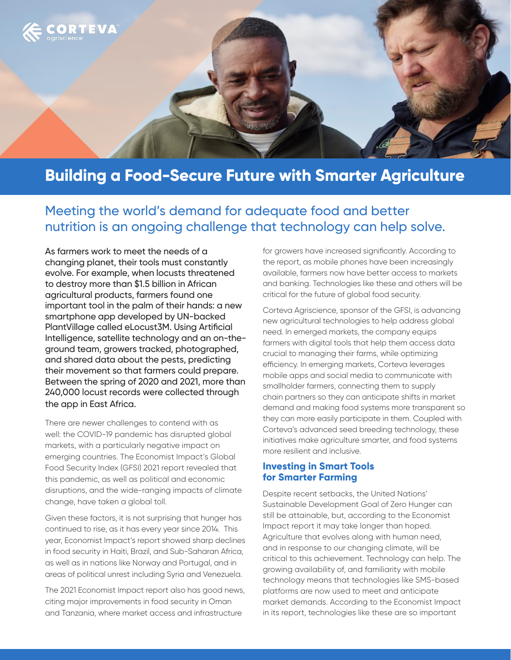

# **Building a Food-Secure Future with Smarter Agriculture**

## Meeting the world's demand for adequate food and better nutrition is an ongoing challenge that technology can help solve.

As farmers work to meet the needs of a changing planet, their tools must constantly evolve. For example, when locusts threatened to destroy more than \$1.5 billion in African agricultural products, farmers found one important tool in the palm of their hands: a new smartphone app developed by UN-backed PlantVillage called eLocust3M. Using Artificial Intelligence, satellite technology and an on-theground team, growers tracked, photographed, and shared data about the pests, predicting their movement so that farmers could prepare. Between the spring of 2020 and 2021, more than 240,000 locust records were collected through the app in East Africa.

There are newer challenges to contend with as well: the COVID-19 pandemic has disrupted global markets, with a particularly negative impact on emerging countries. The Economist Impact's Global Food Security Index (GFSI) 2021 report revealed that this pandemic, as well as political and economic disruptions, and the wide-ranging impacts of climate change, have taken a global toll.

Given these factors, it is not surprising that hunger has continued to rise, as it has every year since 2014. This year, Economist Impact's report showed sharp declines in food security in Haiti, Brazil, and Sub-Saharan Africa, as well as in nations like Norway and Portugal, and in areas of political unrest including Syria and Venezuela.

The 2021 Economist Impact report also has good news, citing major improvements in food security in Oman and Tanzania, where market access and infrastructure

for growers have increased significantly. According to the report, as mobile phones have been increasingly available, farmers now have better access to markets and banking. Technologies like these and others will be critical for the future of global food security.

Corteva Agriscience, sponsor of the GFSI, is advancing new agricultural technologies to help address global need. In emerged markets, the company equips farmers with digital tools that help them access data crucial to managing their farms, while optimizing efficiency. In emerging markets, Corteva leverages mobile apps and social media to communicate with smallholder farmers, connecting them to supply chain partners so they can anticipate shifts in market demand and making food systems more transparent so they can more easily participate in them. Coupled with Corteva's advanced seed breeding technology, these initiatives make agriculture smarter, and food systems more resilient and inclusive.

#### **Investing in Smart Tools for Smarter Farming**

Despite recent setbacks, the United Nations' Sustainable Development Goal of Zero Hunger can still be attainable, but, according to the Economist Impact report it may take longer than hoped. Agriculture that evolves along with human need, and in response to our changing climate, will be critical to this achievement. Technology can help. The growing availability of, and familiarity with mobile technology means that technologies like SMS-based platforms are now used to meet and anticipate market demands. According to the Economist Impact in its report, technologies like these are so important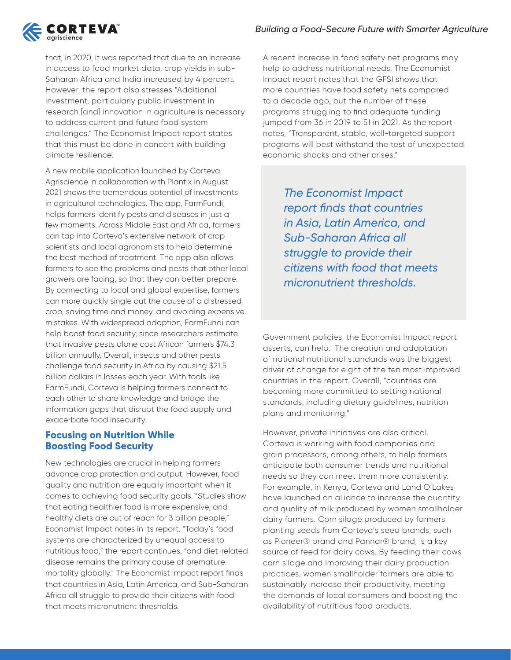#### *Building a Food-Secure Future with Smarter Agriculture*



that, in 2020, it was reported that due to an increase in access to food market data, crop yields in sub-Saharan Africa and India increased by 4 percent. However, the report also stresses "Additional investment, particularly public investment in research [and] innovation in agriculture is necessary to address current and future food system challenges." The Economist Impact report states that this must be done in concert with building climate resilience.

A new mobile application launched by Corteva Agriscience in collaboration with Plantix in August 2021 shows the tremendous potential of investments in agricultural technologies. The app, FarmFundi, helps farmers identify pests and diseases in just a few moments. Across Middle East and Africa, farmers can tap into Corteva's extensive network of crop scientists and local agronomists to help determine the best method of treatment. The app also allows farmers to see the problems and pests that other local growers are facing, so that they can better prepare. By connecting to local and global expertise, farmers can more quickly single out the cause of a distressed crop, saving time and money, and avoiding expensive mistakes. With widespread adoption, FarmFundi can help boost food security, since researchers estimate that invasive pests alone cost African farmers \$74.3 billion annually. Overall, insects and other pests challenge food security in Africa by causing \$21.5 billion dollars in losses each year. With tools like FarmFundi, Corteva is helping farmers connect to each other to share knowledge and bridge the information gaps that disrupt the food supply and exacerbate food insecurity.

#### **Focusing on Nutrition While Boosting Food Security**

New technologies are crucial in helping farmers advance crop protection and output. However, food quality and nutrition are equally important when it comes to achieving food security goals. "Studies show that eating healthier food is more expensive, and healthy diets are out of reach for 3 billion people," Economist Impact notes in its report. "Today's food systems are characterized by unequal access to nutritious food," the report continues, "and diet-related disease remains the primary cause of premature mortality globally." The Economist Impact report finds that countries in Asia, Latin America, and Sub-Saharan Africa all struggle to provide their citizens with food that meets micronutrient thresholds.

A recent increase in food safety net programs may help to address nutritional needs. The Economist Impact report notes that the GFSI shows that more countries have food safety nets compared to a decade ago, but the number of these programs struggling to find adequate funding jumped from 36 in 2019 to 51 in 2021. As the report notes, "Transparent, stable, well-targeted support programs will best withstand the test of unexpected economic shocks and other crises."

> *The Economist Impact report finds that countries in Asia, Latin America, and Sub-Saharan Africa all struggle to provide their citizens with food that meets micronutrient thresholds.*

Government policies, the Economist Impact report asserts, can help. The creation and adaptation of national nutritional standards was the biggest driver of change for eight of the ten most improved countries in the report. Overall, "countries are becoming more committed to setting national standards, including dietary guidelines, nutrition plans and monitoring."

However, private initiatives are also critical. Corteva is working with food companies and grain processors, among others, to help farmers anticipate both consumer trends and nutritional needs so they can meet them more consistently. For example, in Kenya, Corteva and Land O'Lakes have launched an alliance to increase the quantity and quality of milk produced by women smallholder dairy farmers. Corn silage produced by farmers planting seeds from Corteva's seed brands, such as Pioneer® brand and Pannar® brand, is a key source of feed for dairy cows. By feeding their cows corn silage and improving their dairy production practices, women smallholder farmers are able to sustainably increase their productivity, meeting the demands of local consumers and boosting the availability of nutritious food products.